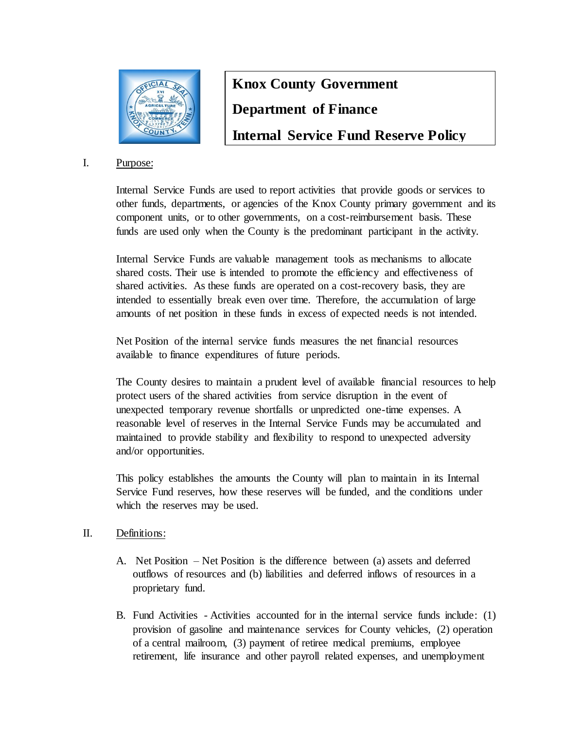

# **Knox County Government Department of Finance Internal Service Fund Reserve Policy**

## I. Purpose:

Internal Service Funds are used to report activities that provide goods or services to other funds, departments, or agencies of the Knox County primary government and its component units, or to other governments, on a cost-reimbursement basis. These funds are used only when the County is the predominant participant in the activity.

Internal Service Funds are valuable management tools as mechanisms to allocate shared costs. Their use is intended to promote the efficiency and effectiveness of shared activities. As these funds are operated on a cost-recovery basis, they are intended to essentially break even over time. Therefore, the accumulation of large amounts of net position in these funds in excess of expected needs is not intended.

Net Position of the internal service funds measures the net financial resources available to finance expenditures of future periods.

The County desires to maintain a prudent level of available financial resources to help protect users of the shared activities from service disruption in the event of unexpected temporary revenue shortfalls or unpredicted one-time expenses. A reasonable level of reserves in the Internal Service Funds may be accumulated and maintained to provide stability and flexibility to respond to unexpected adversity and/or opportunities.

This policy establishes the amounts the County will plan to maintain in its Internal Service Fund reserves, how these reserves will be funded, and the conditions under which the reserves may be used.

## II. Definitions:

- A. Net Position Net Position is the difference between (a) assets and deferred outflows of resources and (b) liabilities and deferred inflows of resources in a proprietary fund.
- B. Fund Activities Activities accounted for in the internal service funds include: (1) provision of gasoline and maintenance services for County vehicles, (2) operation of a central mailroom, (3) payment of retiree medical premiums, employee retirement, life insurance and other payroll related expenses, and unemployment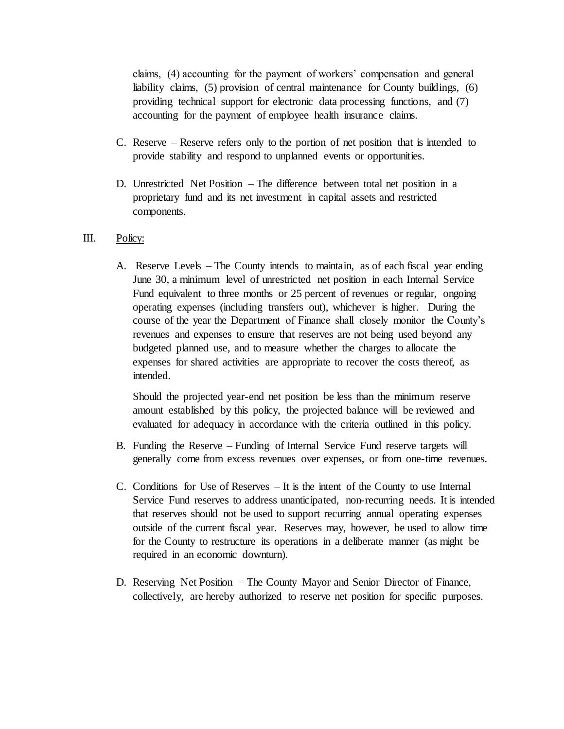claims, (4) accounting for the payment of workers' compensation and general liability claims, (5) provision of central maintenance for County buildings, (6) providing technical support for electronic data processing functions, and (7) accounting for the payment of employee health insurance claims.

- C. Reserve Reserve refers only to the portion of net position that is intended to provide stability and respond to unplanned events or opportunities.
- D. Unrestricted Net Position The difference between total net position in a proprietary fund and its net investment in capital assets and restricted components.

### III. Policy:

A. Reserve Levels – The County intends to maintain, as of each fiscal year ending June 30, a minimum level of unrestricted net position in each Internal Service Fund equivalent to three months or 25 percent of revenues or regular, ongoing operating expenses (including transfers out), whichever is higher. During the course of the year the Department of Finance shall closely monitor the County's revenues and expenses to ensure that reserves are not being used beyond any budgeted planned use, and to measure whether the charges to allocate the expenses for shared activities are appropriate to recover the costs thereof, as intended.

Should the projected year-end net position be less than the minimum reserve amount established by this policy, the projected balance will be reviewed and evaluated for adequacy in accordance with the criteria outlined in this policy.

- B. Funding the Reserve Funding of Internal Service Fund reserve targets will generally come from excess revenues over expenses, or from one-time revenues.
- C. Conditions for Use of Reserves It is the intent of the County to use Internal Service Fund reserves to address unanticipated, non-recurring needs. It is intended that reserves should not be used to support recurring annual operating expenses outside of the current fiscal year. Reserves may, however, be used to allow time for the County to restructure its operations in a deliberate manner (as might be required in an economic downturn).
- D. Reserving Net Position The County Mayor and Senior Director of Finance, collectively, are hereby authorized to reserve net position for specific purposes.